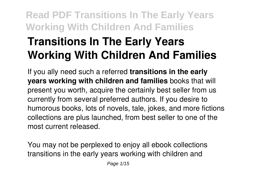# **Transitions In The Early Years Working With Children And Families**

If you ally need such a referred **transitions in the early years working with children and families** books that will present you worth, acquire the certainly best seller from us currently from several preferred authors. If you desire to humorous books, lots of novels, tale, jokes, and more fictions collections are plus launched, from best seller to one of the most current released.

You may not be perplexed to enjoy all ebook collections transitions in the early years working with children and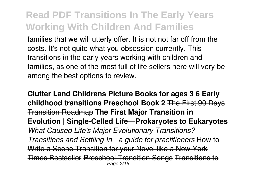families that we will utterly offer. It is not not far off from the costs. It's not quite what you obsession currently. This transitions in the early years working with children and families, as one of the most full of life sellers here will very be among the best options to review.

**Clutter Land Childrens Picture Books for ages 3 6 Early childhood transitions Preschool Book 2** The First 90 Days Transition Roadmap **The First Major Transition in Evolution | Single-Celled Life—Prokaryotes to Eukaryotes** *What Caused Life's Major Evolutionary Transitions? Transitions and Settling In - a guide for practitioners* How to Write a Scene Transition for your Novel like a New York Times Bestseller Preschool Transition Songs Transitions to Page 2/15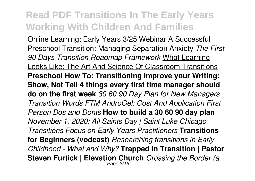Online Learning: Early Years 3/25 Webinar A Successful Preschool Transition: Managing Separation Anxiety *The First 90 Days Transition Roadmap Framework* What Learning Looks Like: The Art And Science Of Classroom Transitions **Preschool How To: Transitioning Improve your Writing: Show, Not Tell 4 things every first time manager should do on the first week** *30 60 90 Day Plan for New Managers Transition Words FTM AndroGel: Cost And Application First Person Dos and Donts* **How to build a 30 60 90 day plan** *November 1, 2020: All Saints Day | Saint Luke Chicago Transitions Focus on Early Years Practitioners* **Transitions for Beginners (vodcast)** *Researching transitions in Early Childhood - What and Why?* **Trapped In Transition | Pastor Steven Furtick | Elevation Church** *Crossing the Border (a* Page 3/15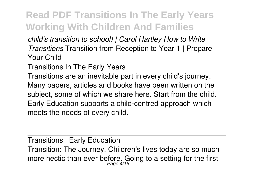*child's transition to school) | Carol Hartley How to Write Transitions* Transition from Reception to Year 1 | Prepare Your Child

Transitions In The Early Years

Transitions are an inevitable part in every child's journey. Many papers, articles and books have been written on the subject, some of which we share here. Start from the child. Early Education supports a child-centred approach which meets the needs of every child.

Transitions | Early Education Transition: The Journey. Children's lives today are so much more hectic than ever before. Going to a setting for the first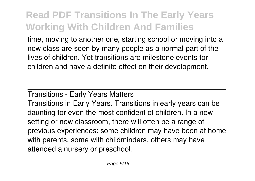time, moving to another one, starting school or moving into a new class are seen by many people as a normal part of the lives of children. Yet transitions are milestone events for children and have a definite effect on their development.

#### Transitions - Early Years Matters

Transitions in Early Years. Transitions in early years can be daunting for even the most confident of children. In a new setting or new classroom, there will often be a range of previous experiences: some children may have been at home with parents, some with childminders, others may have attended a nursery or preschool.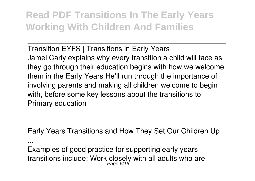Transition EYFS | Transitions in Early Years Jamel Carly explains why every transition a child will face as they go through their education begins with how we welcome them in the Early Years He'll run through the importance of involving parents and making all children welcome to begin with, before some key lessons about the transitions to Primary education

Early Years Transitions and How They Set Our Children Up

Examples of good practice for supporting early years transitions include: Work closely with all adults who are<br>Page 6/15

...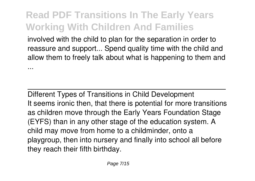involved with the child to plan for the separation in order to reassure and support... Spend quality time with the child and allow them to freely talk about what is happening to them and ...

Different Types of Transitions in Child Development It seems ironic then, that there is potential for more transitions as children move through the Early Years Foundation Stage (EYFS) than in any other stage of the education system. A child may move from home to a childminder, onto a playgroup, then into nursery and finally into school all before they reach their fifth birthday.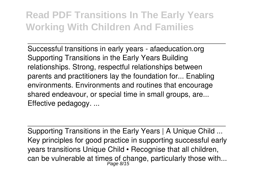Successful transitions in early years - afaeducation.org Supporting Transitions in the Early Years Building relationships. Strong, respectful relationships between parents and practitioners lay the foundation for... Enabling environments. Environments and routines that encourage shared endeavour, or special time in small groups, are... Effective pedagogy. ...

Supporting Transitions in the Early Years | A Unique Child ... Key principles for good practice in supporting successful early years transitions Unique Child • Recognise that all children, can be vulnerable at times of change, particularly those with...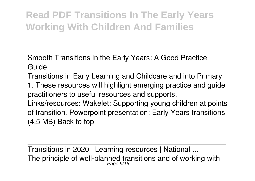Smooth Transitions in the Early Years: A Good Practice Guide

Transitions in Early Learning and Childcare and into Primary 1. These resources will highlight emerging practice and guide practitioners to useful resources and supports. Links/resources: Wakelet: Supporting young children at points of transition. Powerpoint presentation: Early Years transitions (4.5 MB) Back to top

Transitions in 2020 | Learning resources | National ... The principle of well-planned transitions and of working with  $P_{age}$   $9/15$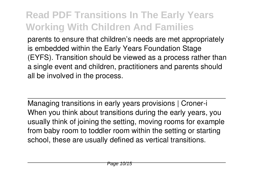parents to ensure that children's needs are met appropriately is embedded within the Early Years Foundation Stage (EYFS). Transition should be viewed as a process rather than a single event and children, practitioners and parents should all be involved in the process.

Managing transitions in early years provisions | Croner-i When you think about transitions during the early years, you usually think of joining the setting, moving rooms for example from baby room to toddler room within the setting or starting school, these are usually defined as vertical transitions.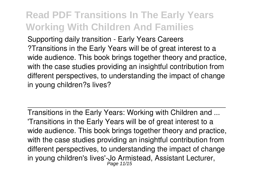Supporting daily transition - Early Years Careers ?Transitions in the Early Years will be of great interest to a wide audience. This book brings together theory and practice, with the case studies providing an insightful contribution from different perspectives, to understanding the impact of change in young children?s lives?

Transitions in the Early Years: Working with Children and ... 'Transitions in the Early Years will be of great interest to a wide audience. This book brings together theory and practice, with the case studies providing an insightful contribution from different perspectives, to understanding the impact of change in young children's lives'-Jo Armistead, Assistant Lecturer, Page 11/15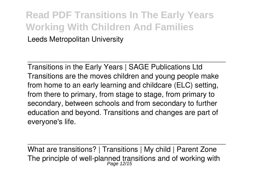#### **Read PDF Transitions In The Early Years Working With Children And Families** Leeds Metropolitan University

Transitions in the Early Years | SAGE Publications Ltd Transitions are the moves children and young people make from home to an early learning and childcare (ELC) setting, from there to primary, from stage to stage, from primary to secondary, between schools and from secondary to further education and beyond. Transitions and changes are part of everyone's life.

What are transitions? | Transitions | My child | Parent Zone The principle of well-planned transitions and of working with  $P_{age}$  12/15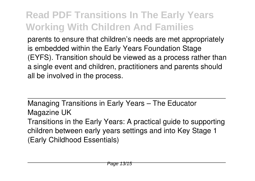parents to ensure that children's needs are met appropriately is embedded within the Early Years Foundation Stage (EYFS). Transition should be viewed as a process rather than a single event and children, practitioners and parents should all be involved in the process.

Managing Transitions in Early Years – The Educator Magazine UK Transitions in the Early Years: A practical guide to supporting children between early years settings and into Key Stage 1 (Early Childhood Essentials)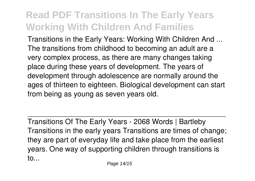Transitions in the Early Years: Working With Children And ... The transitions from childhood to becoming an adult are a very complex process, as there are many changes taking place during these years of development. The years of development through adolescence are normally around the ages of thirteen to eighteen. Biological development can start from being as young as seven years old.

Transitions Of The Early Years - 2068 Words | Bartleby Transitions in the early years Transitions are times of change; they are part of everyday life and take place from the earliest years. One way of supporting children through transitions is to...